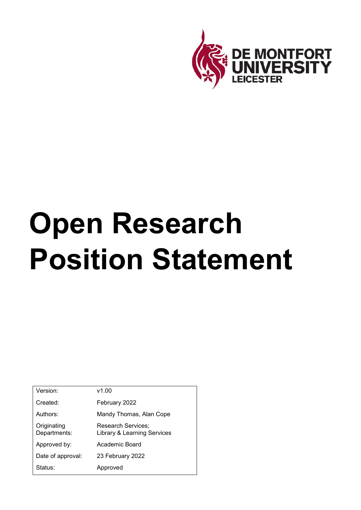

# **Open Research Position Statement**

| Version:                    | v1.00                                                        |
|-----------------------------|--------------------------------------------------------------|
| Created:                    | February 2022                                                |
| Authors:                    | Mandy Thomas, Alan Cope                                      |
| Originating<br>Departments: | Research Services;<br><b>Library &amp; Learning Services</b> |
| Approved by:                | Academic Board                                               |
| Date of approval:           | 23 February 2022                                             |
| Status:                     | Approved                                                     |
|                             |                                                              |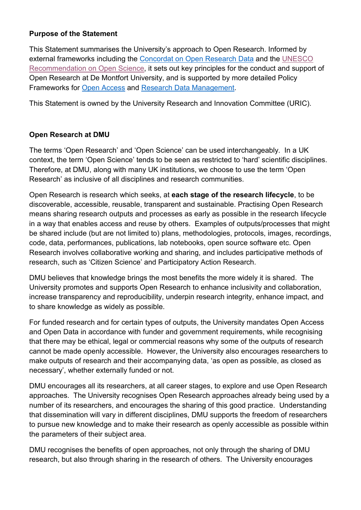### **Purpose of the Statement**

This Statement summarises the University's approach to Open Research. Informed by external frameworks including the [Concordat on Open Research Data](https://www.ukri.org/files/legacy/documents/concordatonopenresearchdata-pdf/) and the [UNESCO](https://unesdoc.unesco.org/ark:/48223/pf0000379949.locale=en)  [Recommendation on Open Science,](https://unesdoc.unesco.org/ark:/48223/pf0000379949.locale=en) it sets out key principles for the conduct and support of Open Research at De Montfort University, and is supported by more detailed Policy Frameworks for [Open Access](https://www.dmu.ac.uk/research/research-support/open-access.aspx) and [Research Data Management.](https://www.dmu.ac.uk/research/research-support/research-data-management.aspx)

This Statement is owned by the University Research and Innovation Committee (URIC).

### **Open Research at DMU**

The terms 'Open Research' and 'Open Science' can be used interchangeably. In a UK context, the term 'Open Science' tends to be seen as restricted to 'hard' scientific disciplines. Therefore, at DMU, along with many UK institutions, we choose to use the term 'Open Research' as inclusive of all disciplines and research communities.

Open Research is research which seeks, at **each stage of the research lifecycle**, to be discoverable, accessible, reusable, transparent and sustainable. Practising Open Research means sharing research outputs and processes as early as possible in the research lifecycle in a way that enables access and reuse by others. Examples of outputs/processes that might be shared include (but are not limited to) plans, methodologies, protocols, images, recordings, code, data, performances, publications, lab notebooks, open source software etc. Open Research involves collaborative working and sharing, and includes participative methods of research, such as 'Citizen Science' and Participatory Action Research.

DMU believes that knowledge brings the most benefits the more widely it is shared. The University promotes and supports Open Research to enhance inclusivity and collaboration, increase transparency and reproducibility, underpin research integrity, enhance impact, and to share knowledge as widely as possible.

For funded research and for certain types of outputs, the University mandates Open Access and Open Data in accordance with funder and government requirements, while recognising that there may be ethical, legal or commercial reasons why some of the outputs of research cannot be made openly accessible. However, the University also encourages researchers to make outputs of research and their accompanying data, 'as open as possible, as closed as necessary', whether externally funded or not.

DMU encourages all its researchers, at all career stages, to explore and use Open Research approaches. The University recognises Open Research approaches already being used by a number of its researchers, and encourages the sharing of this good practice. Understanding that dissemination will vary in different disciplines, DMU supports the freedom of researchers to pursue new knowledge and to make their research as openly accessible as possible within the parameters of their subject area.

DMU recognises the benefits of open approaches, not only through the sharing of DMU research, but also through sharing in the research of others. The University encourages